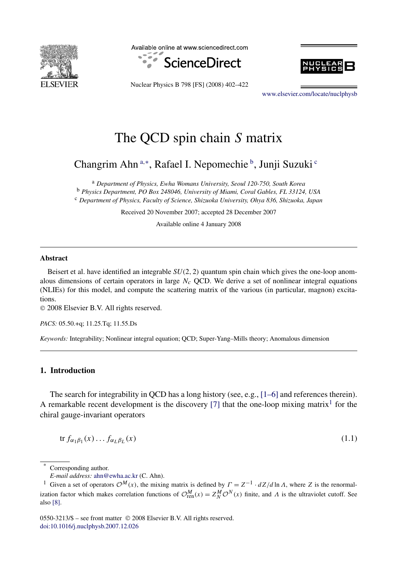<span id="page-0-0"></span>

Available online at www.sciencedirect.com





Nuclear Physics B 798 [FS] (2008) 402–422

[www.elsevier.com/locate/nuclphysb](http://www.elsevier.com/locate/nuclphysb)

# The QCD spin chain *S* matrix

Changrim Ahn<sup>a,∗</sup>, Rafael I. Nepomechie <sup>b</sup>, Junji Suzuki <sup>c</sup>

<sup>a</sup> *Department of Physics, Ewha Womans University, Seoul 120-750, South Korea* <sup>b</sup> *Physics Department, PO Box 248046, University of Miami, Coral Gables, FL 33124, USA* <sup>c</sup> *Department of Physics, Faculty of Science, Shizuoka University, Ohya 836, Shizuoka, Japan*

Received 20 November 2007; accepted 28 December 2007

Available online 4 January 2008

#### **Abstract**

Beisert et al. have identified an integrable *SU(*2*,* 2*)* quantum spin chain which gives the one-loop anomalous dimensions of certain operators in large  $N_c$  QCD. We derive a set of nonlinear integral equations (NLIEs) for this model, and compute the scattering matrix of the various (in particular, magnon) excitations.

© 2008 Elsevier B.V. All rights reserved.

*PACS:* 05.50.+q; 11.25.Tq; 11.55.Ds

*Keywords:* Integrability; Nonlinear integral equation; QCD; Super-Yang–Mills theory; Anomalous dimension

# **1. Introduction**

The search for integrability in QCD has a long history (see, e.g., [\[1–6\]](#page-18-0) and references therein). A remarkable recent development is the discovery [\[7\]](#page-18-0) that the one-loop mixing matrix<sup>1</sup> for the chiral gauge-invariant operators

$$
\text{tr } f_{\alpha_1 \beta_1}(x) \dots f_{\alpha_L \beta_L}(x) \tag{1.1}
$$

\* Corresponding author.

0550-3213/\$ – see front matter © 2008 Elsevier B.V. All rights reserved. [doi:10.1016/j.nuclphysb.2007.12.026](http://dx.doi.org/10.1016/j.nuclphysb.2007.12.026)

*E-mail address:* [ahn@ewha.ac.kr](mailto:ahn@ewha.ac.kr) (C. Ahn).

<sup>&</sup>lt;sup>1</sup> Given a set of operators  $\mathcal{O}^M(x)$ , the mixing matrix is defined by  $\Gamma = Z^{-1} \cdot dZ/d \ln \Lambda$ , where *Z* is the renormalization factor which makes correlation functions of  $\mathcal{O}_{ren}^M(x) = Z_N^M \mathcal{O}^N(x)$  finite, and  $\Lambda$  is the ultraviolet cutoff. See also [\[8\].](#page-18-0)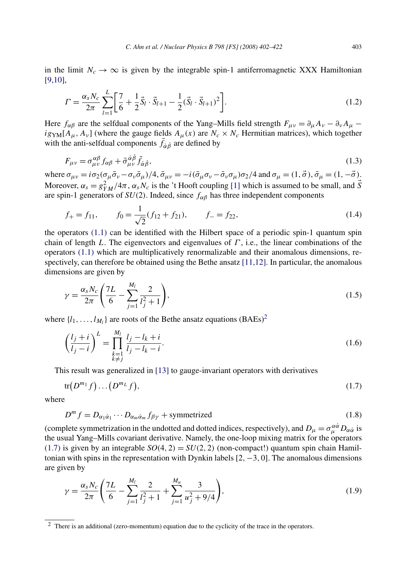<span id="page-1-0"></span>in the limit  $N_c \to \infty$  is given by the integrable spin-1 antiferromagnetic XXX Hamiltonian [\[9,10\],](#page-18-0)

$$
\Gamma = \frac{\alpha_s N_c}{2\pi} \sum_{l=1}^{L} \left[ \frac{7}{6} + \frac{1}{2} \vec{S}_l \cdot \vec{S}_{l+1} - \frac{1}{2} (\vec{S}_l \cdot \vec{S}_{l+1})^2 \right].
$$
\n(1.2)

Here  $f_{\alpha\beta}$  are the selfdual components of the Yang–Mills field strength  $F_{\mu\nu} = \partial_\mu A_\nu - \partial_\nu A_\mu$  $i g_{YM}[A_\mu, A_\nu]$  (where the gauge fields  $A_\mu(x)$  are  $N_c \times N_c$  Hermitian matrices), which together with the anti-selfdual components  $\bar{f}_{\dot{\alpha}\dot{\beta}}$  are defined by

$$
F_{\mu\nu} = \sigma^{\alpha\beta}_{\mu\nu} f_{\alpha\beta} + \bar{\sigma}^{\dot{\alpha}\dot{\beta}}_{\mu\nu} \bar{f}_{\dot{\alpha}\dot{\beta}},\tag{1.3}
$$

where  $\sigma_{\mu\nu} = i\sigma_2(\sigma_{\mu}\bar{\sigma}_{\nu} - \sigma_{\nu}\bar{\sigma}_{\mu})/4$ ,  $\bar{\sigma}_{\mu\nu} = -i(\bar{\sigma}_{\mu}\sigma_{\nu} - \bar{\sigma}_{\nu}\sigma_{\mu})\sigma_2/4$  and  $\sigma_{\mu} = (1, \vec{\sigma}), \bar{\sigma}_{\mu} = (1, -\vec{\sigma}).$ Moreover,  $\alpha_s = g_{YM}^2/4\pi$ ,  $\alpha_s N_c$  is the 't Hooft coupling [\[1\]](#page-18-0) which is assumed to be small, and  $\vec{S}$ are spin-1 generators of  $SU(2)$ . Indeed, since  $f_{\alpha\beta}$  has three independent components

$$
f_{+} = f_{11},
$$
  $f_{0} = \frac{1}{\sqrt{2}}(f_{12} + f_{21}),$   $f_{-} = f_{22},$  (1.4)

the operators [\(1.1\)](#page-0-0) can be identified with the Hilbert space of a periodic spin-1 quantum spin chain of length *L*. The eigenvectors and eigenvalues of *Γ* , i.e., the linear combinations of the operators [\(1.1\)](#page-0-0) which are multiplicatively renormalizable and their anomalous dimensions, respectively, can therefore be obtained using the Bethe ansatz [\[11,12\].](#page-19-0) In particular, the anomalous dimensions are given by

$$
\gamma = \frac{\alpha_s N_c}{2\pi} \left( \frac{7L}{6} - \sum_{j=1}^{M_l} \frac{2}{l_j^2 + 1} \right),\tag{1.5}
$$

where  $\{l_1, \ldots, l_M\}$  are roots of the Bethe ansatz equations  $(BAEs)^2$ 

$$
\left(\frac{l_j+i}{l_j-i}\right)^L = \prod_{\substack{k=1\\k\neq j}}^{M_l} \frac{l_j-l_k+i}{l_j-l_k-i}.
$$
\n(1.6)

This result was generalized in [\[13\]](#page-19-0) to gauge-invariant operators with derivatives

$$
\operatorname{tr}(D^{m_1}f)\dots(D^{m_L}f),\tag{1.7}
$$

where

$$
D^{m} f = D_{\alpha_1 \dot{\alpha}_1} \cdots D_{\alpha_m \dot{\alpha}_m} f_{\beta \gamma} + \text{symmetrized}
$$
 (1.8)

(complete symmetrization in the undotted and dotted indices, respectively), and  $D_\mu = \sigma_\mu^{\alpha\dot{\alpha}} D_{\alpha\dot{\alpha}}$  is the usual Yang–Mills covariant derivative. Namely, the one-loop mixing matrix for the operators  $(1.7)$  is given by an integrable  $SO(4, 2) = SU(2, 2)$  (non-compact!) quantum spin chain Hamiltonian with spins in the representation with Dynkin labels [2*,*−3*,* 0]. The anomalous dimensions are given by

$$
\gamma = \frac{\alpha_s N_c}{2\pi} \left( \frac{7L}{6} - \sum_{j=1}^{M_l} \frac{2}{l_j^2 + 1} + \sum_{j=1}^{M_u} \frac{3}{u_j^2 + 9/4} \right),\tag{1.9}
$$

<sup>2</sup> There is an additional (zero-momentum) equation due to the cyclicity of the trace in the operators.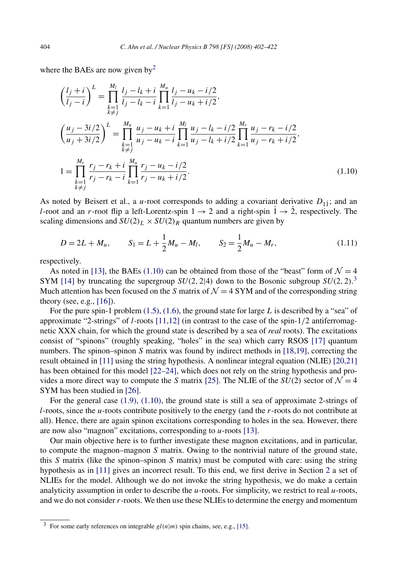<span id="page-2-0"></span>where the BAEs are now given by<sup>2</sup>

$$
\left(\frac{l_j+i}{l_j-i}\right)^L = \prod_{\substack{k=1\\k\neq j}}^{M_l} \frac{l_j-l_k+i}{l_j-l_k-i} \prod_{k=1}^{M_u} \frac{l_j-u_k-i/2}{l_j-u_k+i/2},
$$
\n
$$
\left(\frac{u_j-3i/2}{u_j+3i/2}\right)^L = \prod_{\substack{k=1\\k\neq j}}^{M_u} \frac{u_j-u_k+i}{u_j-u_k-i} \prod_{k=1}^{M_l} \frac{u_j-l_k-i/2}{u_j-l_k+i/2} \prod_{k=1}^{M_r} \frac{u_j-r_k-i/2}{u_j-r_k+i/2},
$$
\n
$$
1 = \prod_{\substack{k=1\\k\neq j}}^{M_r} \frac{r_j-r_k+i}{r_j-r_k-i} \prod_{k=1}^{M_u} \frac{r_j-u_k-i/2}{r_j-u_k+i/2}.
$$
\n(1.10)

As noted by Beisert et al., a *u*-root corresponds to adding a covariant derivative  $D_{11}$ ; and an *l*-root and an *r*-root flip a left-Lorentz-spin  $1 \rightarrow 2$  and a right-spin  $1 \rightarrow 2$ , respectively. The scaling dimensions and  $SU(2)_L \times SU(2)_R$  quantum numbers are given by

$$
D = 2L + M_u, \t S_1 = L + \frac{1}{2}M_u - M_l, \t S_2 = \frac{1}{2}M_u - M_r,
$$
\t(1.11)

respectively.

As noted in [\[13\],](#page-19-0) the BAEs (1.10) can be obtained from those of the "beast" form of  $\mathcal{N} = 4$ SYM [\[14\]](#page-19-0) by truncating the supergroup  $SU(2, 2|4)$  down to the Bosonic subgroup  $SU(2, 2)$ .<sup>3</sup> Much attention has been focused on the *S* matrix of  $\mathcal{N} = 4$  SYM and of the corresponding string theory (see, e.g.,  $[16]$ ).

For the pure spin-1 problem [\(1.5\), \(1.6\),](#page-1-0) the ground state for large *L* is described by a "sea" of approximate "2-strings" of *l*-roots [\[11,12\]](#page-19-0) (in contrast to the case of the spin-1*/*2 antiferromagnetic XXX chain, for which the ground state is described by a sea of *real* roots). The excitations consist of "spinons" (roughly speaking, "holes" in the sea) which carry RSOS [\[17\]](#page-19-0) quantum numbers. The spinon–spinon *S* matrix was found by indirect methods in [\[18,19\],](#page-19-0) correcting the result obtained in [\[11\]](#page-19-0) using the string hypothesis. A nonlinear integral equation (NLIE) [\[20,21\]](#page-19-0) has been obtained for this model [\[22–24\],](#page-20-0) which does not rely on the string hypothesis and provides a more direct way to compute the *S* matrix [\[25\].](#page-20-0) The NLIE of the  $SU(2)$  sector of  $\mathcal{N} = 4$ SYM has been studied in [\[26\].](#page-20-0)

For the general case [\(1.9\), \(1.10\),](#page-1-0) the ground state is still a sea of approximate 2-strings of *l*-roots, since the *u*-roots contribute positively to the energy (and the *r*-roots do not contribute at all). Hence, there are again spinon excitations corresponding to holes in the sea. However, there are now also "magnon" excitations, corresponding to *u*-roots [\[13\].](#page-19-0)

Our main objective here is to further investigate these magnon excitations, and in particular, to compute the magnon–magnon *S* matrix. Owing to the nontrivial nature of the ground state, this *S* matrix (like the spinon–spinon *S* matrix) must be computed with care: using the string hypothesis as in [\[11\]](#page-19-0) gives an incorrect result. To this end, we first derive in Section [2](#page-3-0) a set of NLIEs for the model. Although we do not invoke the string hypothesis, we do make a certain analyticity assumption in order to describe the *u*-roots. For simplicity, we restrict to real *u*-roots, and we do not consider *r*-roots. We then use these NLIEs to determine the energy and momentum

 $\frac{3}{3}$  For some early references on integrable  $gl(n|m)$  spin chains, see, e.g., [\[15\].](#page-19-0)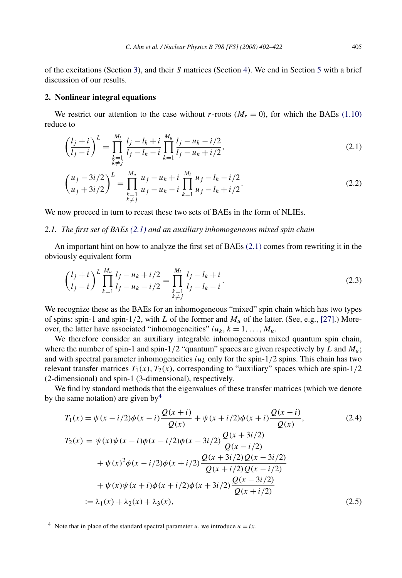<span id="page-3-0"></span>of the excitations (Section [3\)](#page-12-0), and their *S* matrices (Section [4\)](#page-14-0). We end in Section [5](#page-17-0) with a brief discussion of our results.

### **2. Nonlinear integral equations**

We restrict our attention to the case without *r*-roots ( $M_r = 0$ ), for which the BAEs [\(1.10\)](#page-2-0) reduce to

$$
\left(\frac{l_j+i}{l_j-i}\right)^L = \prod_{\substack{k=1\\k\neq j}}^{M_l} \frac{l_j-l_k+i}{l_j-l_k-i} \prod_{k=1}^{M_u} \frac{l_j-u_k-i/2}{l_j-u_k+i/2},\tag{2.1}
$$

$$
\left(\frac{u_j - 3i/2}{u_j + 3i/2}\right)^L = \prod_{\substack{k=1 \ k \neq j}}^{M_u} \frac{u_j - u_k + i}{u_j - u_k - i} \prod_{k=1}^{M_l} \frac{u_j - l_k - i/2}{u_j - l_k + i/2}.
$$
\n(2.2)

We now proceed in turn to recast these two sets of BAEs in the form of NLIEs.

# *2.1. The first set of BAEs (2.1) and an auxiliary inhomogeneous mixed spin chain*

An important hint on how to analyze the first set of BAEs (2.1) comes from rewriting it in the obviously equivalent form

$$
\left(\frac{l_j+i}{l_j-i}\right)^L \prod_{k=1}^{M_u} \frac{l_j - u_k + i/2}{l_j - u_k - i/2} = \prod_{\substack{k=1 \ k \neq j}}^{M_l} \frac{l_j - l_k + i}{l_j - l_k - i}.
$$
\n(2.3)

We recognize these as the BAEs for an inhomogeneous "mixed" spin chain which has two types of spins: spin-1 and spin-1/2, with *L* of the former and  $M_u$  of the latter. (See, e.g., [\[27\].](#page-20-0)) Moreover, the latter have associated "inhomogeneities"  $i u_k$ ,  $k = 1, ..., M_u$ .

We therefore consider an auxiliary integrable inhomogeneous mixed quantum spin chain, where the number of spin-1 and spin-1/2 "quantum" spaces are given respectively by *L* and  $M_u$ ; and with spectral parameter inhomogeneities  $i\mu_k$  only for the spin- $1/2$  spins. This chain has two relevant transfer matrices  $T_1(x)$ ,  $T_2(x)$ , corresponding to "auxiliary" spaces which are spin-1/2 (2-dimensional) and spin-1 (3-dimensional), respectively.

We find by standard methods that the eigenvalues of these transfer matrices (which we denote by the same notation) are given  $by<sup>4</sup>$ 

$$
T_1(x) = \psi(x - i/2)\phi(x - i)\frac{Q(x + i)}{Q(x)} + \psi(x + i/2)\phi(x + i)\frac{Q(x - i)}{Q(x)},
$$
\n
$$
T_2(x) = \psi(x)\psi(x - i)\phi(x - i/2)\phi(x - 3i/2)\frac{Q(x + 3i/2)}{Q(x - i/2)}
$$
\n
$$
+ \psi(x)^2\phi(x - i/2)\phi(x + i/2)\frac{Q(x + 3i/2)Q(x - 3i/2)}{Q(x + i/2)Q(x - i/2)}
$$
\n
$$
+ \psi(x)\psi(x + i)\phi(x + i/2)\phi(x + 3i/2)\frac{Q(x - 3i/2)}{Q(x + i/2)}
$$
\n
$$
:= \lambda_1(x) + \lambda_2(x) + \lambda_3(x),
$$
\n(2.5)

<sup>&</sup>lt;sup>4</sup> Note that in place of the standard spectral parameter *u*, we introduce  $u = ix$ .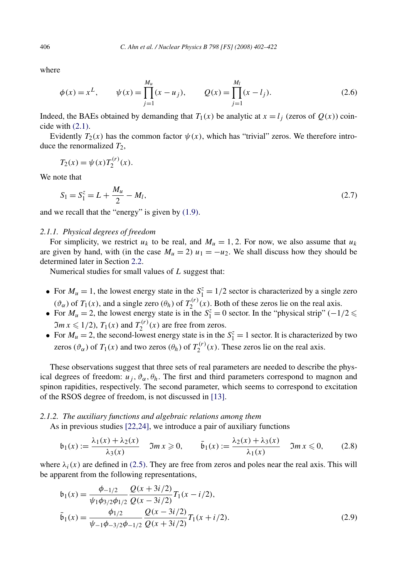where

$$
\phi(x) = x^L, \qquad \psi(x) = \prod_{j=1}^{M_u} (x - u_j), \qquad Q(x) = \prod_{j=1}^{M_l} (x - l_j). \tag{2.6}
$$

Indeed, the BAEs obtained by demanding that  $T_1(x)$  be analytic at  $x = l_i$  (zeros of  $Q(x)$ ) coincide with [\(2.1\).](#page-3-0)

Evidently  $T_2(x)$  has the common factor  $\psi(x)$ , which has "trivial" zeros. We therefore introduce the renormalized  $T_2$ ,

$$
T_2(x) = \psi(x) T_2^{(r)}(x).
$$

We note that

$$
S_1 = S_1^z = L + \frac{M_u}{2} - M_l,
$$
\n(2.7)

and we recall that the "energy" is given by [\(1.9\).](#page-1-0)

# *2.1.1. Physical degrees of freedom*

For simplicity, we restrict  $u_k$  to be real, and  $M_u = 1, 2$ . For now, we also assume that  $u_k$ are given by hand, with (in the case  $M_u = 2$ )  $u_1 = -u_2$ . We shall discuss how they should be determined later in Section [2.2.](#page-9-0)

Numerical studies for small values of *L* suggest that:

- For  $M_u = 1$ , the lowest energy state in the  $S_1^z = 1/2$  sector is characterized by a single zero  $(\vartheta_{\alpha})$  of  $T_1(x)$ , and a single zero  $(\theta_h)$  of  $T_2^{(r)}(x)$ . Both of these zeros lie on the real axis.
- For  $M_u = 2$ , the lowest energy state is in the  $S_1^z = 0$  sector. In the "physical strip" (-1/2  $\leq$  $\mathfrak{Im} \ x \leq 1/2$ ,  $T_1(x)$  and  $T_2^{(r)}(x)$  are free from zeros.
- For  $M_u = 2$ , the second-lowest energy state is in the  $S_1^z = 1$  sector. It is characterized by two zeros ( $\vartheta_{\alpha}$ ) of  $T_1(x)$  and two zeros ( $\theta_h$ ) of  $T_2^{(r)}(x)$ . These zeros lie on the real axis.

These observations suggest that three sets of real parameters are needed to describe the physical degrees of freedom:  $u_j$ ,  $\vartheta_\alpha$ ,  $\theta_h$ . The first and third parameters correspond to magnon and spinon rapidities, respectively. The second parameter, which seems to correspond to excitation of the RSOS degree of freedom, is not discussed in [\[13\].](#page-19-0)

#### *2.1.2. The auxiliary functions and algebraic relations among them*

As in previous studies [\[22,24\],](#page-20-0) we introduce a pair of auxiliary functions

$$
\mathfrak{b}_1(x) := \frac{\lambda_1(x) + \lambda_2(x)}{\lambda_3(x)} \quad \mathfrak{Im}\,x \geqslant 0, \qquad \bar{\mathfrak{b}}_1(x) := \frac{\lambda_2(x) + \lambda_3(x)}{\lambda_1(x)} \quad \mathfrak{Im}\,x \leqslant 0,\tag{2.8}
$$

where  $\lambda_i(x)$  are defined in [\(2.5\).](#page-3-0) They are free from zeros and poles near the real axis. This will be apparent from the following representations,

$$
\begin{aligned}\n\mathfrak{b}_1(x) &= \frac{\phi_{-1/2}}{\psi_1 \phi_{3/2} \phi_{1/2}} \frac{Q(x+3i/2)}{Q(x-3i/2)} T_1(x-i/2), \\
\bar{\mathfrak{b}}_1(x) &= \frac{\phi_{1/2}}{\psi_{-1} \phi_{-3/2} \phi_{-1/2}} \frac{Q(x-3i/2)}{Q(x+3i/2)} T_1(x+i/2).\n\end{aligned} \tag{2.9}
$$

<span id="page-4-0"></span>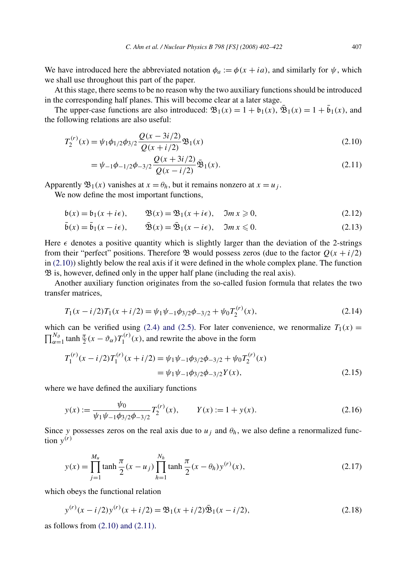<span id="page-5-0"></span>We have introduced here the abbreviated notation  $\phi_a := \phi(x + ia)$ , and similarly for  $\psi$ , which we shall use throughout this part of the paper.

At this stage, there seems to be no reason why the two auxiliary functions should be introduced in the corresponding half planes. This will become clear at a later stage.

The upper-case functions are also introduced:  $\mathfrak{B}_1(x) = 1 + \mathfrak{b}_1(x)$ ,  $\mathfrak{B}_1(x) = 1 + \mathfrak{b}_1(x)$ , and the following relations are also useful:

$$
T_2^{(r)}(x) = \psi_1 \phi_{1/2} \phi_{3/2} \frac{Q(x - 3i/2)}{Q(x + i/2)} \mathfrak{B}_1(x)
$$
\n(2.10)

$$
= \psi_{-1}\phi_{-1/2}\phi_{-3/2}\frac{Q(x+3i/2)}{Q(x-i/2)}\bar{\mathfrak{B}}_1(x). \tag{2.11}
$$

Apparently  $\mathfrak{B}_1(x)$  vanishes at  $x = \theta_h$ , but it remains nonzero at  $x = u_i$ .

We now define the most important functions,

$$
\mathfrak{b}(x) = \mathfrak{b}_1(x + i\epsilon), \qquad \mathfrak{B}(x) = \mathfrak{B}_1(x + i\epsilon), \quad \mathfrak{Im}\,x \geq 0,
$$
\n
$$
(2.12)
$$

$$
\bar{\mathfrak{b}}(x) = \bar{\mathfrak{b}}_1(x - i\epsilon), \qquad \bar{\mathfrak{B}}(x) = \bar{\mathfrak{B}}_1(x - i\epsilon), \quad \Im m \, x \leq 0. \tag{2.13}
$$

Here  $\epsilon$  denotes a positive quantity which is slightly larger than the deviation of the 2-strings from their "perfect" positions. Therefore  $\mathfrak{B}$  would possess zeros (due to the factor  $Q(x + i/2)$ in (2.10)) slightly below the real axis if it were defined in the whole complex plane. The function B is, however, defined only in the upper half plane (including the real axis).

Another auxiliary function originates from the so-called fusion formula that relates the two transfer matrices,

$$
T_1(x - i/2)T_1(x + i/2) = \psi_1 \psi_{-1} \phi_{3/2} \phi_{-3/2} + \psi_0 T_2^{(r)}(x),
$$
\n(2.14)

which can be verified using [\(2.4\) and \(2.5\).](#page-3-0) For later convenience, we renormalize  $T_1(x)$  =  $\prod_{\alpha=1}^{N_{\theta}} \tanh \frac{\pi}{2}(x - \vartheta_{\alpha}) T_1^{(r)}(x)$ , and rewrite the above in the form

$$
T_1^{(r)}(x - i/2)T_1^{(r)}(x + i/2) = \psi_1 \psi_{-1} \phi_{3/2} \phi_{-3/2} + \psi_0 T_2^{(r)}(x)
$$
  
=  $\psi_1 \psi_{-1} \phi_{3/2} \phi_{-3/2} Y(x)$ , (2.15)

where we have defined the auxiliary functions

$$
y(x) := \frac{\psi_0}{\psi_1 \psi_{-1} \phi_{3/2} \phi_{-3/2}} T_2^{(r)}(x), \qquad Y(x) := 1 + y(x). \tag{2.16}
$$

Since *y* possesses zeros on the real axis due to  $u_i$  and  $\theta_h$ , we also define a renormalized function  $y^{(r)}$ 

$$
y(x) = \prod_{j=1}^{M_u} \tanh\frac{\pi}{2}(x - u_j) \prod_{h=1}^{N_h} \tanh\frac{\pi}{2}(x - \theta_h) y^{(r)}(x),
$$
 (2.17)

which obeys the functional relation

$$
y^{(r)}(x - i/2)y^{(r)}(x + i/2) = \mathfrak{B}_1(x + i/2)\bar{\mathfrak{B}}_1(x - i/2),
$$
\n(2.18)

as follows from (2.10) and (2.11).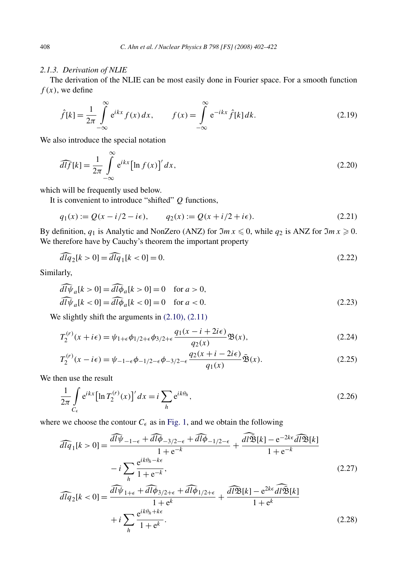## <span id="page-6-0"></span>*2.1.3. Derivation of NLIE*

The derivation of the NLIE can be most easily done in Fourier space. For a smooth function  $f(x)$ , we define

$$
\hat{f}[k] = \frac{1}{2\pi} \int_{-\infty}^{\infty} e^{ikx} f(x) dx, \qquad f(x) = \int_{-\infty}^{\infty} e^{-ikx} \hat{f}[k] dk.
$$
\n(2.19)

We also introduce the special notation

$$
\widehat{dlf}[k] = \frac{1}{2\pi} \int_{-\infty}^{\infty} e^{ikx} \left[ \ln f(x) \right]' dx,
$$
\n(2.20)

which will be frequently used below.

It is convenient to introduce "shifted" *Q* functions,

$$
q_1(x) := Q(x - i/2 - i\epsilon), \qquad q_2(x) := Q(x + i/2 + i\epsilon).
$$
 (2.21)

By definition,  $q_1$  is Analytic and NonZero (ANZ) for  $\Im m \, x \leq 0$ , while  $q_2$  is ANZ for  $\Im m \, x \geq 0$ . We therefore have by Cauchy's theorem the important property

$$
\widehat{dlq}_2[k>0] = \widehat{dlq}_1[k<0] = 0. \tag{2.22}
$$

Similarly,

$$
\begin{aligned}\n\overline{d} \overline{\psi}_a[k > 0] = \overline{d} \overline{\psi}_a[k > 0] = 0 \quad \text{for } a > 0, \\
\overline{d} \overline{\psi}_a[k < 0] = \overline{d} \overline{\psi}_a[k < 0] = 0 \quad \text{for } a < 0.\n\end{aligned} \tag{2.23}
$$

We slightly shift the arguments in  $(2.10)$ ,  $(2.11)$ 

$$
T_2^{(r)}(x+i\epsilon) = \psi_{1+\epsilon}\phi_{1/2+\epsilon}\phi_{3/2+\epsilon}\frac{q_1(x-i+2i\epsilon)}{q_2(x)}\mathfrak{B}(x),\tag{2.24}
$$

$$
T_2^{(r)}(x - i\epsilon) = \psi_{-1-\epsilon}\phi_{-1/2-\epsilon}\phi_{-3/2-\epsilon}\frac{q_2(x + i - 2i\epsilon)}{q_1(x)}\tilde{\mathfrak{B}}(x).
$$
 (2.25)

We then use the result

$$
\frac{1}{2\pi} \int\limits_{C_{\epsilon}} e^{ikx} \left[ \ln T_2^{(r)}(x) \right]' dx = i \sum_h e^{ik\theta_h},\tag{2.26}
$$

where we choose the contour  $C_{\epsilon}$  as in [Fig. 1,](#page-7-0) and we obtain the following

$$
\widehat{dlq}_1[k>0] = \frac{\widehat{dl\psi}_{-1-\epsilon} + \widehat{dl\phi}_{-3/2-\epsilon} + \widehat{dl\phi}_{-1/2-\epsilon}}{1 + e^{-k}} + \frac{\widehat{dl\mathfrak{B}}[k] - e^{-2k\epsilon} \widehat{dl\mathfrak{B}}[k]}{1 + e^{-k}}
$$

$$
-i \sum_{h} \frac{e^{ik\theta_h - k\epsilon}}{1 + e^{-k}},
$$
(2.27)

$$
\widehat{dlq}_2[k<0] = \frac{\widehat{dl\psi}_{1+\epsilon} + \widehat{dl\phi}_{3/2+\epsilon} + \widehat{dl\phi}_{1/2+\epsilon}}{1+e^k} + \frac{\widehat{dl\mathfrak{B}}[k] - e^{2k\epsilon} \widehat{dl\mathfrak{B}}[k]}{1+e^k} + i \sum_h \frac{e^{ik\theta_h + k\epsilon}}{1+e^k}.
$$
\n(2.28)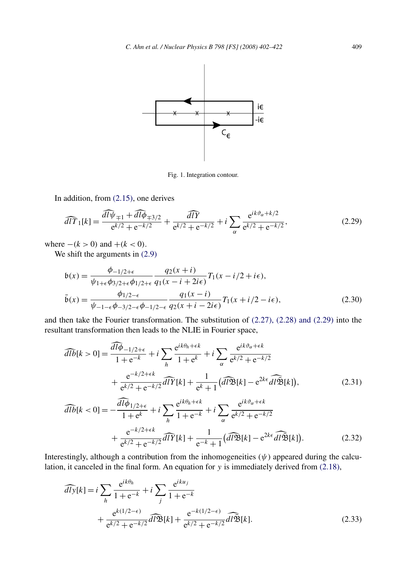<span id="page-7-0"></span>

Fig. 1. Integration contour.

In addition, from [\(2.15\),](#page-5-0) one derives

$$
\widehat{dIT}_1[k] = \frac{\widehat{dly}_{\mp 1} + \widehat{dly}_{\mp 3/2}}{e^{k/2} + e^{-k/2}} + \frac{\widehat{dIF}}{e^{k/2} + e^{-k/2}} + i \sum_{\alpha} \frac{e^{ik\vartheta_{\alpha} + k/2}}{e^{k/2} + e^{-k/2}},
$$
(2.29)

where  $-(k > 0)$  and  $+(k < 0)$ .

We shift the arguments in  $(2.9)$ 

$$
b(x) = \frac{\phi_{-1/2+\epsilon}}{\psi_{1+\epsilon}\phi_{3/2+\epsilon}\phi_{1/2+\epsilon}} \frac{q_2(x+i)}{q_1(x-i+2i\epsilon)} T_1(x-i/2+i\epsilon),
$$
  

$$
\bar{b}(x) = \frac{\phi_{1/2-\epsilon}}{\psi_{-1-\epsilon}\phi_{-3/2-\epsilon}\phi_{-1/2-\epsilon}} \frac{q_1(x-i)}{q_2(x+i-2i\epsilon)} T_1(x+i/2-i\epsilon),
$$
 (2.30)

and then take the Fourier transformation. The substitution of [\(2.27\), \(2.28\) and \(2.29\)](#page-6-0) into the resultant transformation then leads to the NLIE in Fourier space,

$$
\widehat{dlb}[k>0] = \frac{\widehat{dl\phi}_{-1/2+\epsilon}}{1+e^{-k}} + i \sum_{h} \frac{e^{ik\theta_h + \epsilon k}}{1+e^{k}} + i \sum_{\alpha} \frac{e^{ik\vartheta_{\alpha} + \epsilon k}}{e^{k/2} + e^{-k/2}} + \frac{e^{-k/2+\epsilon k}}{e^{k/2} + e^{-k/2}} \widehat{dlY}[k] + \frac{1}{e^{k} + 1} (\widehat{dl\mathfrak{B}}[k] - e^{2k\epsilon} \widehat{dl\mathfrak{B}}[k]),
$$
\n(2.31)

$$
\widehat{dlb}[k < 0] = -\frac{\widehat{dl\phi}_{1/2+\epsilon}}{1+e^k} + i \sum_h \frac{e^{ik\theta_h + \epsilon k}}{1+e^{-k}} + i \sum_{\alpha} \frac{e^{ik\vartheta_{\alpha} + \epsilon k}}{e^{k/2} + e^{-k/2}} + \frac{e^{-k/2+\epsilon k}}{e^{k/2} + e^{-k/2}} \widehat{dlY}[k] + \frac{1}{e^{-k} + 1} (\widehat{dl\mathfrak{B}}[k] - e^{2k\epsilon} \widehat{dl\mathfrak{B}}[k]).
$$
\n(2.32)

Interestingly, although a contribution from the inhomogeneities  $(\psi)$  appeared during the calculation, it canceled in the final form. An equation for *y* is immediately derived from [\(2.18\),](#page-5-0)

$$
\widehat{dly}[k] = i \sum_{h} \frac{e^{ik\theta_h}}{1 + e^{-k}} + i \sum_{j} \frac{e^{iku_j}}{1 + e^{-k}}
$$
  
+ 
$$
\frac{e^{k(1/2 - \epsilon)}}{e^{k/2} + e^{-k/2}} \widehat{dPB}[k] + \frac{e^{-k(1/2 - \epsilon)}}{e^{k/2} + e^{-k/2}} \widehat{dPB}[k].
$$
 (2.33)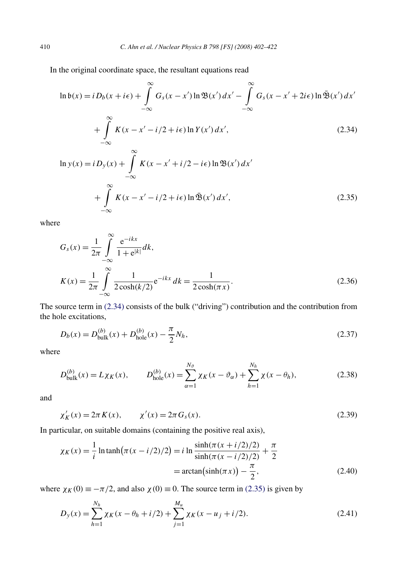<span id="page-8-0"></span>In the original coordinate space, the resultant equations read

$$
\ln \mathfrak{b}(x) = i D_b(x + i\epsilon) + \int_{-\infty}^{\infty} G_s(x - x') \ln \mathfrak{B}(x') dx' - \int_{-\infty}^{\infty} G_s(x - x' + 2i\epsilon) \ln \bar{\mathfrak{B}}(x') dx'
$$
  
+ 
$$
\int_{-\infty}^{\infty} K(x - x' - i/2 + i\epsilon) \ln Y(x') dx',
$$
(2.34)

$$
\ln y(x) = i D_y(x) + \int_{-\infty}^{\infty} K(x - x' + i/2 - i\epsilon) \ln \mathfrak{B}(x') dx'
$$
  
+ 
$$
\int_{-\infty}^{\infty} K(x - x' - i/2 + i\epsilon) \ln \bar{\mathfrak{B}}(x') dx',
$$
 (2.35)

where

$$
G_s(x) = \frac{1}{2\pi} \int_{-\infty}^{\infty} \frac{e^{-ikx}}{1 + e^{k}} dk,
$$
  
\n
$$
K(x) = \frac{1}{2\pi} \int_{-\infty}^{\infty} \frac{1}{2 \cosh(k/2)} e^{-ikx} dk = \frac{1}{2 \cosh(\pi x)}.
$$
\n(2.36)

The source term in (2.34) consists of the bulk ("driving") contribution and the contribution from the hole excitations,

$$
D_b(x) = D_{\text{bulk}}^{(b)}(x) + D_{\text{hole}}^{(b)}(x) - \frac{\pi}{2} N_h,
$$
\n(2.37)

where

$$
D_{\text{bulk}}^{(b)}(x) = L\chi_K(x), \qquad D_{\text{hole}}^{(b)}(x) = \sum_{\alpha=1}^{N_{\vartheta}} \chi_K(x - \vartheta_{\alpha}) + \sum_{h=1}^{N_h} \chi(x - \theta_h), \tag{2.38}
$$

and

$$
\chi'_{K}(x) = 2\pi K(x), \qquad \chi'(x) = 2\pi G_{s}(x). \tag{2.39}
$$

In particular, on suitable domains (containing the positive real axis),

$$
\chi_K(x) = \frac{1}{i} \ln \tanh(\pi (x - i/2)/2) = i \ln \frac{\sinh(\pi (x + i/2)/2)}{\sinh(\pi (x - i/2)/2)} + \frac{\pi}{2}
$$
  
=  $\arctan(\sinh(\pi x)) - \frac{\pi}{2}$ , (2.40)

where  $\chi_K(0) \equiv -\pi/2$ , and also  $\chi(0) \equiv 0$ . The source term in (2.35) is given by

$$
D_y(x) = \sum_{h=1}^{N_h} \chi_K(x - \theta_h + i/2) + \sum_{j=1}^{M_u} \chi_K(x - u_j + i/2).
$$
 (2.41)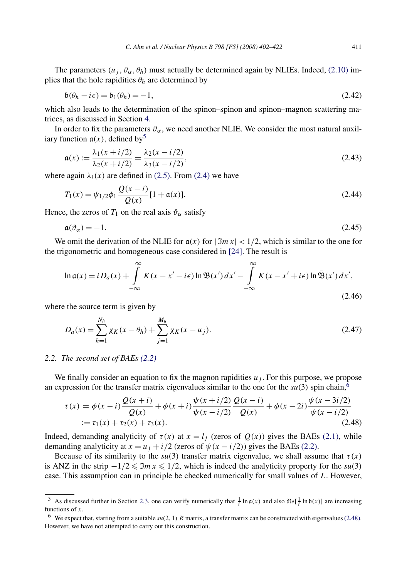<span id="page-9-0"></span>The parameters  $(u_j, \vartheta_\alpha, \theta_h)$  must actually be determined again by NLIEs. Indeed, [\(2.10\)](#page-5-0) implies that the hole rapidities  $\theta_h$  are determined by

$$
\mathfrak{b}(\theta_h - i\epsilon) = \mathfrak{b}_1(\theta_h) = -1,\tag{2.42}
$$

which also leads to the determination of the spinon–spinon and spinon–magnon scattering matrices, as discussed in Section [4.](#page-14-0)

In order to fix the parameters  $\vartheta_{\alpha}$ , we need another NLIE. We consider the most natural auxiliary function  $a(x)$ , defined by<sup>5</sup>

$$
\mathfrak{a}(x) := \frac{\lambda_1(x + i/2)}{\lambda_2(x + i/2)} = \frac{\lambda_2(x - i/2)}{\lambda_3(x - i/2)},
$$
\n(2.43)

where again  $\lambda_i(x)$  are defined in [\(2.5\).](#page-3-0) From [\(2.4\)](#page-3-0) we have

$$
T_1(x) = \psi_{1/2}\phi_1 \frac{Q(x - i)}{Q(x)} [1 + \mathfrak{a}(x)].
$$
\n(2.44)

Hence, the zeros of  $T_1$  on the real axis  $\vartheta_{\alpha}$  satisfy

$$
\mathfrak{a}(\vartheta_{\alpha}) = -1. \tag{2.45}
$$

We omit the derivation of the NLIE for  $a(x)$  for  $|\Im m x| < 1/2$ , which is similar to the one for the trigonometric and homogeneous case considered in [\[24\].](#page-20-0) The result is

$$
\ln \mathfrak{a}(x) = i D_a(x) + \int_{-\infty}^{\infty} K(x - x' - i\epsilon) \ln \mathfrak{B}(x') dx' - \int_{-\infty}^{\infty} K(x - x' + i\epsilon) \ln \bar{\mathfrak{B}}(x') dx',
$$
\n(2.46)

where the source term is given by

$$
D_a(x) = \sum_{h=1}^{N_h} \chi_K(x - \theta_h) + \sum_{j=1}^{M_u} \chi_K(x - u_j).
$$
 (2.47)

#### *2.2. The second set of BAEs [\(2.2\)](#page-3-0)*

We finally consider an equation to fix the magnon rapidities  $u_j$ . For this purpose, we propose an expression for the transfer matrix eigenvalues similar to the one for the  $su(3)$  spin chain,<sup>6</sup>

$$
\tau(x) = \phi(x - i) \frac{Q(x + i)}{Q(x)} + \phi(x + i) \frac{\psi(x + i/2)}{\psi(x - i/2)} \frac{Q(x - i)}{Q(x)} + \phi(x - 2i) \frac{\psi(x - 3i/2)}{\psi(x - i/2)}
$$
  
 :=  $\tau_1(x) + \tau_2(x) + \tau_3(x)$ . (2.48)

Indeed, demanding analyticity of  $\tau(x)$  at  $x = l_j$  (zeros of  $Q(x)$ ) gives the BAEs [\(2.1\),](#page-3-0) while demanding analyticity at  $x = u_j + i/2$  (zeros of  $\psi(x - i/2)$ ) gives the BAEs [\(2.2\).](#page-3-0)

Because of its similarity to the  $su(3)$  transfer matrix eigenvalue, we shall assume that  $\tau(x)$ is ANZ in the strip  $-1/2 \leq 3mx \leq 1/2$ , which is indeed the analyticity property for the *su*(3) case. This assumption can in principle be checked numerically for small values of *L*. However,

<sup>&</sup>lt;sup>5</sup> As discussed further in Section [2.3,](#page-10-0) one can verify numerically that  $\frac{1}{i} \ln \alpha(x)$  and also  $\Re e[\frac{1}{i} \ln \beta(x)]$  are increasing functions of *x*.

<sup>6</sup> We expect that, starting from a suitable *su(*2*,* 1*) R* matrix, a transfer matrix can be constructed with eigenvalues(2.48). However, we have not attempted to carry out this construction.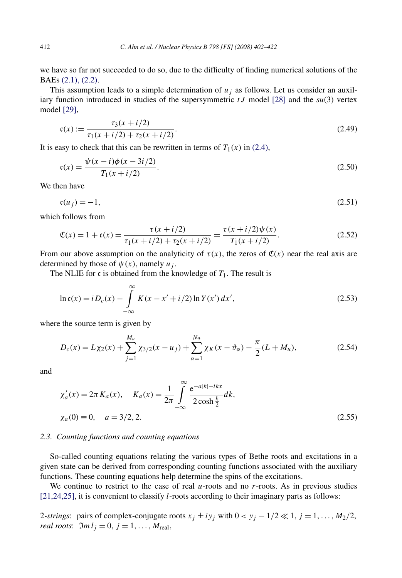<span id="page-10-0"></span>we have so far not succeeded to do so, due to the difficulty of finding numerical solutions of the BAEs [\(2.1\), \(2.2\).](#page-3-0)

This assumption leads to a simple determination of  $u_j$  as follows. Let us consider an auxiliary function introduced in studies of the supersymmetric *tJ* model [\[28\]](#page-20-0) and the *su(*3*)* vertex model [\[29\],](#page-20-0)

$$
\mathfrak{c}(x) := \frac{\tau_3(x+i/2)}{\tau_1(x+i/2) + \tau_2(x+i/2)}.\tag{2.49}
$$

It is easy to check that this can be rewritten in terms of  $T_1(x)$  in [\(2.4\),](#page-3-0)

$$
\mathfrak{c}(x) = \frac{\psi(x - i)\phi(x - 3i/2)}{T_1(x + i/2)}.
$$
\n(2.50)

We then have

$$
\mathfrak{c}(u_j) = -1,\tag{2.51}
$$

which follows from

$$
\mathfrak{C}(x) = 1 + \mathfrak{c}(x) = \frac{\tau(x + i/2)}{\tau_1(x + i/2) + \tau_2(x + i/2)} = \frac{\tau(x + i/2)\psi(x)}{T_1(x + i/2)}.
$$
\n(2.52)

From our above assumption on the analyticity of  $\tau(x)$ , the zeros of  $\mathfrak{C}(x)$  near the real axis are determined by those of  $\psi(x)$ , namely  $u_i$ .

The NLIE for  $\mathfrak c$  is obtained from the knowledge of  $T_1$ . The result is

$$
\ln \mathfrak{c}(x) = i D_c(x) - \int_{-\infty}^{\infty} K(x - x' + i/2) \ln Y(x') dx',
$$
\n(2.53)

where the source term is given by

$$
D_c(x) = L\chi_2(x) + \sum_{j=1}^{M_u} \chi_{3/2}(x - u_j) + \sum_{\alpha=1}^{N_{\partial}} \chi_K(x - \vartheta_{\alpha}) - \frac{\pi}{2}(L + M_u),
$$
 (2.54)

and

$$
\chi'_a(x) = 2\pi K_a(x), \quad K_a(x) = \frac{1}{2\pi} \int_{-\infty}^{\infty} \frac{e^{-a|k|-ikx}}{2\cosh\frac{k}{2}} dk,
$$
  

$$
\chi_a(0) \equiv 0, \quad a = 3/2, 2.
$$
 (2.55)

#### *2.3. Counting functions and counting equations*

So-called counting equations relating the various types of Bethe roots and excitations in a given state can be derived from corresponding counting functions associated with the auxiliary functions. These counting equations help determine the spins of the excitations.

We continue to restrict to the case of real *u*-roots and no *r*-roots. As in previous studies [\[21,24,25\],](#page-19-0) it is convenient to classify *l*-roots according to their imaginary parts as follows:

2-strings: pairs of complex-conjugate roots  $x_j \pm iy_j$  with  $0 < y_j - 1/2 \ll 1$ ,  $j = 1, ..., M_2/2$ , *real roots*:  $\mathfrak{Im} l_i = 0, j = 1, \ldots, M_{\text{real}},$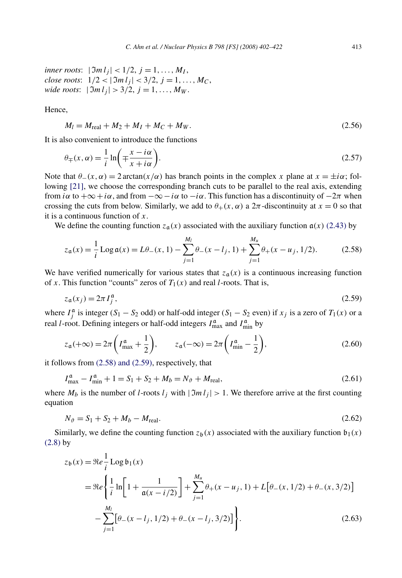<span id="page-11-0"></span>*inner roots*:  $|\mathfrak{Im} \, l_i| < 1/2, j = 1, ..., M_I$ , *close roots*:  $1/2 < |\mathfrak{Im} \, l_i| < 3/2, j = 1, \ldots, M_C$ , *wide roots*:  $|\mathfrak{Im} \, l_i| > \frac{3}{2}, \, j = 1, \ldots, M_W$ .

Hence,

$$
M_l = M_{\text{real}} + M_2 + M_l + M_C + M_W. \tag{2.56}
$$

It is also convenient to introduce the functions

$$
\theta_{\mp}(x,\alpha) = \frac{1}{i} \ln \left( \mp \frac{x - i\alpha}{x + i\alpha} \right).
$$
\n(2.57)

Note that  $\theta$ −*(x, α)* = 2 arctan $(x/\alpha)$  has branch points in the complex *x* plane at  $x = \pm i\alpha$ ; following [\[21\],](#page-19-0) we choose the corresponding branch cuts to be parallel to the real axis, extending from *iα* to  $+\infty + i\alpha$ , and from  $-\infty - i\alpha$  to  $-i\alpha$ . This function has a discontinuity of  $-2\pi$  when crossing the cuts from below. Similarly, we add to  $\theta_+(x,\alpha)$  a  $2\pi$ -discontinuity at  $x=0$  so that it is a continuous function of *x*.

We define the counting function  $z_a(x)$  associated with the auxiliary function  $a(x)$  [\(2.43\)](#page-9-0) by

$$
z_{\mathfrak{a}}(x) = \frac{1}{i} \operatorname{Log} \mathfrak{a}(x) = L\theta_{-}(x, 1) - \sum_{j=1}^{M_l} \theta_{-}(x - l_j, 1) + \sum_{j=1}^{M_u} \theta_{+}(x - u_j, 1/2). \tag{2.58}
$$

We have verified numerically for various states that  $z_a(x)$  is a continuous increasing function of *x*. This function "counts" zeros of  $T_1(x)$  and real *l*-roots. That is,

$$
z_{\mathfrak{a}}(x_j) = 2\pi I_j^{\mathfrak{a}},\tag{2.59}
$$

where  $I_j^{\alpha}$  is integer (*S*<sub>1</sub> − *S*<sub>2</sub> odd) or half-odd integer (*S*<sub>1</sub> − *S*<sub>2</sub> even) if *x<sub>j</sub>* is a zero of *T*<sub>1</sub>(*x*) or a real *l*-root. Defining integers or half-odd integers  $I_{\text{max}}^{\alpha}$  and  $I_{\text{min}}^{\alpha}$  by

$$
z_{\mathfrak{a}}(+\infty) = 2\pi \left( I_{\text{max}}^{\mathfrak{a}} + \frac{1}{2} \right), \qquad z_{\mathfrak{a}}(-\infty) = 2\pi \left( I_{\text{min}}^{\mathfrak{a}} - \frac{1}{2} \right), \tag{2.60}
$$

it follows from (2.58) and (2.59), respectively, that

$$
I_{\text{max}}^{\mathfrak{a}} - I_{\text{min}}^{\mathfrak{a}} + 1 = S_1 + S_2 + M_b = N_{\vartheta} + M_{\text{real}},
$$
\n(2.61)

where  $M_b$  is the number of *l*-roots  $l_j$  with  $|\mathcal{I}m l_j| > 1$ . We therefore arrive at the first counting equation

$$
N_{\vartheta} = S_1 + S_2 + M_b - M_{\text{real}}.\tag{2.62}
$$

Similarly, we define the counting function  $z_b(x)$  associated with the auxiliary function  $b_1(x)$ [\(2.8\)](#page-4-0) by

$$
z_{\mathfrak{b}}(x) = \Re e \frac{1}{i} \operatorname{Log} \mathfrak{b}_1(x)
$$
  
= 
$$
\Re e \left\{ \frac{1}{i} \ln \left[ 1 + \frac{1}{\mathfrak{a}(x - i/2)} \right] + \sum_{j=1}^{M_u} \theta_+(x - u_j, 1) + L \left[ \theta_-(x, 1/2) + \theta_-(x, 3/2) \right] - \sum_{j=1}^{M_l} \left[ \theta_-(x - l_j, 1/2) + \theta_-(x - l_j, 3/2) \right] \right\}.
$$
 (2.63)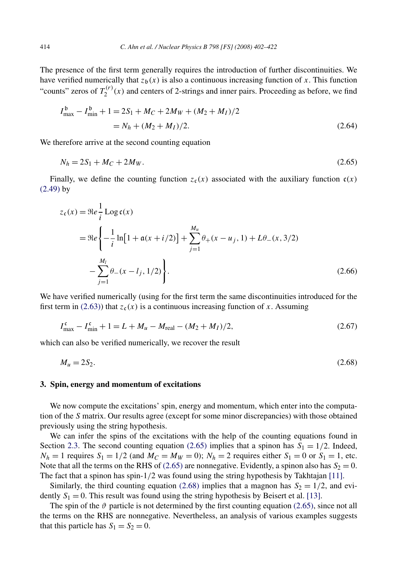<span id="page-12-0"></span>The presence of the first term generally requires the introduction of further discontinuities. We have verified numerically that  $z<sub>b</sub>(x)$  is also a continuous increasing function of x. This function "counts" zeros of  $T_2^{(r)}(x)$  and centers of 2-strings and inner pairs. Proceeding as before, we find

$$
I_{\text{max}}^{\text{b}} - I_{\text{min}}^{\text{b}} + 1 = 2S_1 + M_C + 2M_W + (M_2 + M_I)/2
$$
  
= N<sub>h</sub> + (M<sub>2</sub> + M<sub>I</sub>)/2. (2.64)

We therefore arrive at the second counting equation

$$
N_h = 2S_1 + M_C + 2M_W. \tag{2.65}
$$

Finally, we define the counting function  $z_c(x)$  associated with the auxiliary function  $c(x)$ [\(2.49\)](#page-10-0) by

$$
z_{c}(x) = \Re e \frac{1}{i} \operatorname{Log} c(x)
$$
  
=  $\Re e \left\{ -\frac{1}{i} \ln [1 + a(x + i/2)] + \sum_{j=1}^{M_{u}} \theta_{+}(x - u_{j}, 1) + L\theta_{-}(x, 3/2) - \sum_{j=1}^{M_{l}} \theta_{-}(x - l_{j}, 1/2) \right\}.$  (2.66)

We have verified numerically (using for the first term the same discontinuities introduced for the first term in [\(2.63\)\)](#page-11-0) that  $z_c(x)$  is a continuous increasing function of x. Assuming

$$
I_{\text{max}}^{\text{c}} - I_{\text{min}}^{\text{c}} + 1 = L + M_u - M_{\text{real}} - (M_2 + M_I)/2, \tag{2.67}
$$

which can also be verified numerically, we recover the result

$$
M_u = 2S_2. \tag{2.68}
$$

#### **3. Spin, energy and momentum of excitations**

We now compute the excitations' spin, energy and momentum, which enter into the computation of the *S* matrix. Our results agree (except for some minor discrepancies) with those obtained previously using the string hypothesis.

We can infer the spins of the excitations with the help of the counting equations found in Section [2.3.](#page-10-0) The second counting equation (2.65) implies that a spinon has  $S_1 = 1/2$ . Indeed,  $N_h = 1$  requires  $S_1 = 1/2$  (and  $M_C = M_W = 0$ );  $N_h = 2$  requires either  $S_1 = 0$  or  $S_1 = 1$ , etc. Note that all the terms on the RHS of (2.65) are nonnegative. Evidently, a spinon also has  $S_2 = 0$ . The fact that a spinon has spin-1*/*2 was found using the string hypothesis by Takhtajan [\[11\].](#page-19-0)

Similarly, the third counting equation (2.68) implies that a magnon has  $S_2 = 1/2$ , and evidently  $S_1 = 0$ . This result was found using the string hypothesis by Beisert et al. [\[13\].](#page-19-0)

The spin of the  $\vartheta$  particle is not determined by the first counting equation (2.65), since not all the terms on the RHS are nonnegative. Nevertheless, an analysis of various examples suggests that this particle has  $S_1 = S_2 = 0$ .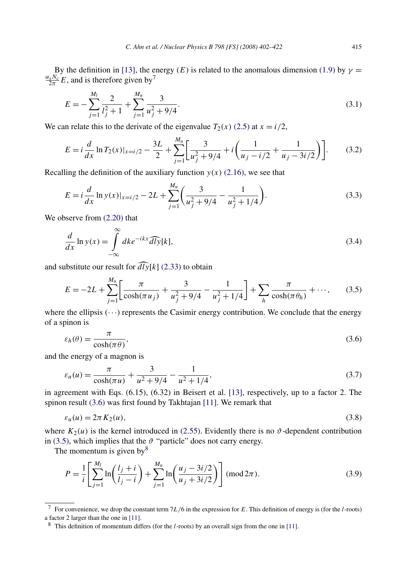<span id="page-13-0"></span>By the definition in [\[13\],](#page-19-0) the energy (*E*) is related to the anomalous dimension [\(1.9\)](#page-1-0) by  $\gamma$  =  $\frac{\alpha_s N_c}{2\pi} E$ , and is therefore given by<sup>7</sup>

$$
E = -\sum_{j=1}^{M_l} \frac{2}{l_j^2 + 1} + \sum_{j=1}^{M_u} \frac{3}{u_j^2 + 9/4}.
$$
\n(3.1)

We can relate this to the derivate of the eigenvalue  $T_2(x)$  [\(2.5\)](#page-3-0) at  $x = i/2$ ,

$$
E = i\frac{d}{dx}\ln T_2(x)|_{x=i/2} - \frac{3L}{2} + \sum_{j=1}^{M_u} \left[\frac{3}{u_j^2 + 9/4} + i\left(\frac{1}{u_j - i/2} + \frac{1}{u_j - 3i/2}\right)\right].
$$
 (3.2)

Recalling the definition of the auxiliary function  $y(x)$  [\(2.16\),](#page-5-0) we see that

$$
E = i\frac{d}{dx}\ln y(x)|_{x=i/2} - 2L + \sum_{j=1}^{M_u} \left(\frac{3}{u_j^2 + 9/4} - \frac{1}{u_j^2 + 1/4}\right).
$$
 (3.3)

We observe from [\(2.20\)](#page-6-0) that

$$
\frac{d}{dx}\ln y(x) = \int_{-\infty}^{\infty} dk e^{-ikx} \widehat{dly}[k],\tag{3.4}
$$

and substitute our result for  $\widehat{dly}[k]$  [\(2.33\)](#page-7-0) to obtain

∞

$$
E = -2L + \sum_{j=1}^{M_u} \left[ \frac{\pi}{\cosh(\pi u_j)} + \frac{3}{u_j^2 + 9/4} - \frac{1}{u_j^2 + 1/4} \right] + \sum_h \frac{\pi}{\cosh(\pi \theta_h)} + \cdots,
$$
 (3.5)

where the ellipsis  $(\cdots)$  represents the Casimir energy contribution. We conclude that the energy of a spinon is

$$
\varepsilon_h(\theta) = \frac{\pi}{\cosh(\pi \theta)},\tag{3.6}
$$

and the energy of a magnon is

$$
\varepsilon_u(u) = \frac{\pi}{\cosh(\pi u)} + \frac{3}{u^2 + 9/4} - \frac{1}{u^2 + 1/4},\tag{3.7}
$$

in agreement with Eqs. (6.15), (6.32) in Beisert et al. [\[13\],](#page-19-0) respectively, up to a factor 2. The spinon result (3.6) was first found by Takhtajan [\[11\].](#page-19-0) We remark that

$$
\varepsilon_u(u) = 2\pi K_2(u),\tag{3.8}
$$

where  $K_2(u)$  is the kernel introduced in [\(2.55\).](#page-10-0) Evidently there is no  $\vartheta$ -dependent contribution in (3.5), which implies that the  $\vartheta$  "particle" does not carry energy.

The momentum is given by  $8^8$ 

$$
P = \frac{1}{i} \left[ \sum_{j=1}^{M_l} \ln \left( \frac{l_j + i}{l_j - i} \right) + \sum_{j=1}^{M_u} \ln \left( \frac{u_j - 3i/2}{u_j + 3i/2} \right) \right] \text{ (mod } 2\pi \text{)}.
$$
 (3.9)

<sup>7</sup> For convenience, we drop the constant term 7*L/*6 in the expression for *E*. This definition of energy is (for the *l*-roots) a factor 2 larger than the one in [\[11\].](#page-19-0)

<sup>8</sup> This definition of momentum differs (for the *l*-roots) by an overall sign from the one in [\[11\].](#page-19-0)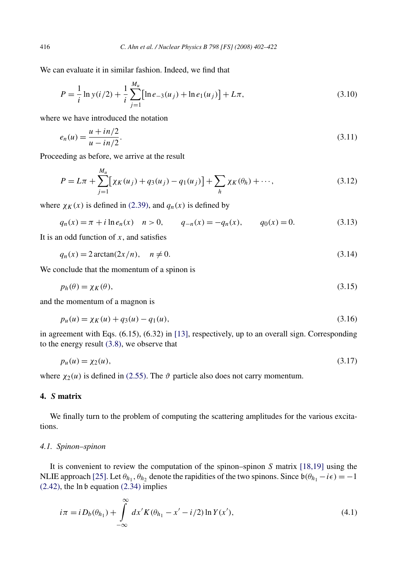We can evaluate it in similar fashion. Indeed, we find that

$$
P = \frac{1}{i} \ln y(i/2) + \frac{1}{i} \sum_{j=1}^{M_u} [\ln e_{-3}(u_j) + \ln e_1(u_j)] + L\pi,
$$
\n(3.10)

where we have introduced the notation

$$
e_n(u) = \frac{u + in/2}{u - in/2}.
$$
\n(3.11)

Proceeding as before, we arrive at the result

$$
P = L\pi + \sum_{j=1}^{M_u} \left[ \chi_K(u_j) + q_3(u_j) - q_1(u_j) \right] + \sum_h \chi_K(\theta_h) + \cdots,
$$
 (3.12)

where  $\chi_K(x)$  is defined in [\(2.39\),](#page-8-0) and  $q_n(x)$  is defined by

$$
q_n(x) = \pi + i \ln e_n(x) \quad n > 0, \qquad q_{-n}(x) = -q_n(x), \qquad q_0(x) = 0. \tag{3.13}
$$

It is an odd function of *x*, and satisfies

$$
q_n(x) = 2\arctan(2x/n), \quad n \neq 0. \tag{3.14}
$$

We conclude that the momentum of a spinon is

$$
p_h(\theta) = \chi_K(\theta),\tag{3.15}
$$

and the momentum of a magnon is

$$
p_u(u) = \chi_K(u) + q_3(u) - q_1(u),\tag{3.16}
$$

in agreement with Eqs. (6.15), (6.32) in [\[13\],](#page-19-0) respectively, up to an overall sign. Corresponding to the energy result [\(3.8\),](#page-13-0) we observe that

$$
p_u(u) = \chi_2(u),\tag{3.17}
$$

where  $\chi_2(u)$  is defined in [\(2.55\).](#page-10-0) The  $\vartheta$  particle also does not carry momentum.

## **4.** *S* **matrix**

We finally turn to the problem of computing the scattering amplitudes for the various excitations.

## *4.1. Spinon–spinon*

It is convenient to review the computation of the spinon–spinon *S* matrix [\[18,19\]](#page-19-0) using the NLIE approach [\[25\].](#page-20-0) Let  $\theta_{h_1}$ ,  $\theta_{h_2}$  denote the rapidities of the two spinons. Since  $\mathfrak{b}(\theta_{h_1} - i\epsilon) = -1$  $(2.42)$ , the ln b equation  $(2.34)$  implies

$$
i\pi = i D_b(\theta_{h_1}) + \int_{-\infty}^{\infty} dx' K(\theta_{h_1} - x' - i/2) \ln Y(x'), \tag{4.1}
$$

<span id="page-14-0"></span>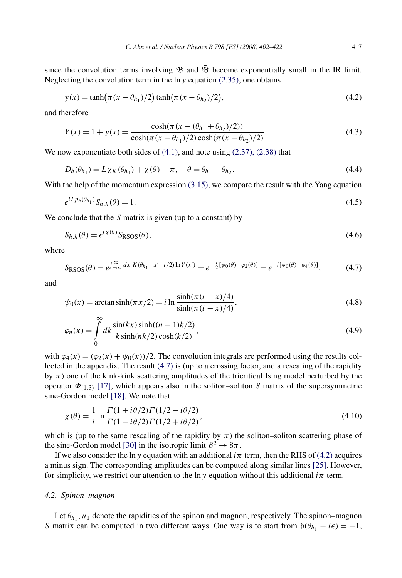<span id="page-15-0"></span>since the convolution terms involving  $\mathfrak B$  and  $\mathfrak B$  become exponentially small in the IR limit. Neglecting the convolution term in the ln *y* equation [\(2.35\),](#page-8-0) one obtains

$$
y(x) = \tanh(\pi (x - \theta_{h_1})/2) \tanh(\pi (x - \theta_{h_2})/2),
$$
\n(4.2)

and therefore

$$
Y(x) = 1 + y(x) = \frac{\cosh(\pi (x - (\theta_{h_1} + \theta_{h_2})/2))}{\cosh(\pi (x - \theta_{h_1})/2)\cosh(\pi (x - \theta_{h_2})/2)}.
$$
(4.3)

We now exponentiate both sides of  $(4.1)$ , and note using  $(2.37)$ ,  $(2.38)$  that

$$
D_b(\theta_{h_1}) = L\chi_K(\theta_{h_1}) + \chi(\theta) - \pi, \quad \theta = \theta_{h_1} - \theta_{h_2}.
$$
\n
$$
(4.4)
$$

With the help of the momentum expression  $(3.15)$ , we compare the result with the Yang equation

$$
e^{iL_{Ph}(\theta_{h_1})} S_{h,h}(\theta) = 1.
$$
\n(4.5)

We conclude that the *S* matrix is given (up to a constant) by

$$
S_{h,h}(\theta) = e^{i\chi(\theta)} S_{\text{RSOS}}(\theta),\tag{4.6}
$$

where

$$
S_{\rm RSOS}(\theta) = e^{\int_{-\infty}^{\infty} dx' K(\theta_{h_1} - x' - i/2) \ln Y(x')} = e^{-\frac{i}{2} [\psi_0(\theta) - \varphi_2(\theta)]} = e^{-i [\psi_0(\theta) - \varphi_4(\theta)]},
$$
(4.7)

and

$$
\psi_0(x) = \arctan \sinh(\pi x/2) = i \ln \frac{\sinh(\pi (i + x)/4)}{\sinh(\pi (i - x)/4)},
$$
\n(4.8)

$$
\varphi_n(x) = \int_0^\infty dk \frac{\sin(kx)\sinh((n-1)k/2)}{k\sinh(nk/2)\cosh(k/2)},
$$
\n(4.9)

with  $\varphi_4(x) = (\varphi_2(x) + \psi_0(x))/2$ . The convolution integrals are performed using the results collected in the appendix. The result (4.7) is (up to a crossing factor, and a rescaling of the rapidity by  $\pi$ ) one of the kink-kink scattering amplitudes of the tricritical Ising model perturbed by the operator  $\Phi_{(1,3)}$  [\[17\],](#page-19-0) which appears also in the soliton–soliton *S* matrix of the supersymmetric sine-Gordon model [\[18\].](#page-19-0) We note that

$$
\chi(\theta) = \frac{1}{i} \ln \frac{\Gamma(1 + i\theta/2)\Gamma(1/2 - i\theta/2)}{\Gamma(1 - i\theta/2)\Gamma(1/2 + i\theta/2)},
$$
\n(4.10)

which is (up to the same rescaling of the rapidity by  $\pi$ ) the soliton–soliton scattering phase of the sine-Gordon model [\[30\]](#page-20-0) in the isotropic limit  $\beta^2 \rightarrow 8\pi$ .

If we also consider the ln *y* equation with an additional  $i\pi$  term, then the RHS of (4.2) acquires a minus sign. The corresponding amplitudes can be computed along similar lines [\[25\].](#page-20-0) However, for simplicity, we restrict our attention to the ln *y* equation without this additional  $i\pi$  term.

#### *4.2. Spinon–magnon*

Let  $\theta_{h_1}, u_1$  denote the rapidities of the spinon and magnon, respectively. The spinon–magnon *S* matrix can be computed in two different ways. One way is to start from  $b(\theta_{h_1} - i\epsilon) = -1$ ,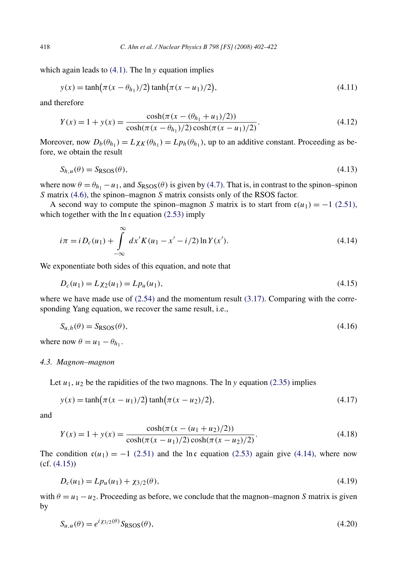<span id="page-16-0"></span>which again leads to [\(4.1\).](#page-14-0) The ln *y* equation implies

$$
y(x) = \tanh(\pi (x - \theta_{h_1})/2) \tanh(\pi (x - u_1)/2),
$$
\n(4.11)

and therefore

$$
Y(x) = 1 + y(x) = \frac{\cosh(\pi(x - (\theta_{h_1} + u_1)/2))}{\cosh(\pi(x - \theta_{h_1})/2)\cosh(\pi(x - u_1)/2)}.
$$
(4.12)

Moreover, now  $D_b(\theta_{h_1}) = L\chi_K(\theta_{h_1}) = Lp_h(\theta_{h_1})$ , up to an additive constant. Proceeding as before, we obtain the result

$$
S_{h,u}(\theta) = S_{\text{RSOS}}(\theta),\tag{4.13}
$$

where now  $\theta = \theta_{h_1} - u_1$ , and  $S_{RSOS}(\theta)$  is given by [\(4.7\).](#page-15-0) That is, in contrast to the spinon–spinon *S* matrix [\(4.6\),](#page-15-0) the spinon–magnon *S* matrix consists only of the RSOS factor.

A second way to compute the spinon–magnon *S* matrix is to start from  $c(u_1) = -1$  [\(2.51\),](#page-10-0) which together with the  $\ln \mathfrak{c}$  equation [\(2.53\)](#page-10-0) imply

$$
i\pi = i D_c(u_1) + \int_{-\infty}^{\infty} dx' K(u_1 - x' - i/2) \ln Y(x').
$$
 (4.14)

We exponentiate both sides of this equation, and note that

$$
D_c(u_1) = L\chi_2(u_1) = Lp_u(u_1),\tag{4.15}
$$

where we have made use of  $(2.54)$  and the momentum result  $(3.17)$ . Comparing with the corresponding Yang equation, we recover the same result, i.e.,

$$
S_{u,h}(\theta) = S_{\text{RSOS}}(\theta),\tag{4.16}
$$

where now  $\theta = u_1 - \theta_{h_1}$ .

#### *4.3. Magnon–magnon*

Let  $u_1, u_2$  be the rapidities of the two magnons. The  $\ln y$  equation [\(2.35\)](#page-8-0) implies

$$
y(x) = \tanh(\pi(x - u_1)/2)\tanh(\pi(x - u_2)/2),\tag{4.17}
$$

and

$$
Y(x) = 1 + y(x) = \frac{\cosh(\pi(x - (u_1 + u_2)/2))}{\cosh(\pi(x - u_1)/2)\cosh(\pi(x - u_2)/2)}.
$$
\n(4.18)

The condition  $c(u_1) = -1$  [\(2.51\)](#page-10-0) and the ln c equation [\(2.53\)](#page-10-0) again give (4.14), where now (cf. (4.15))

$$
D_c(u_1) = Lp_u(u_1) + \chi_{3/2}(\theta),\tag{4.19}
$$

with  $\theta = u_1 - u_2$ . Proceeding as before, we conclude that the magnon–magnon *S* matrix is given by

$$
S_{u,u}(\theta) = e^{i\chi_{3/2}(\theta)} S_{\text{RSOS}}(\theta),\tag{4.20}
$$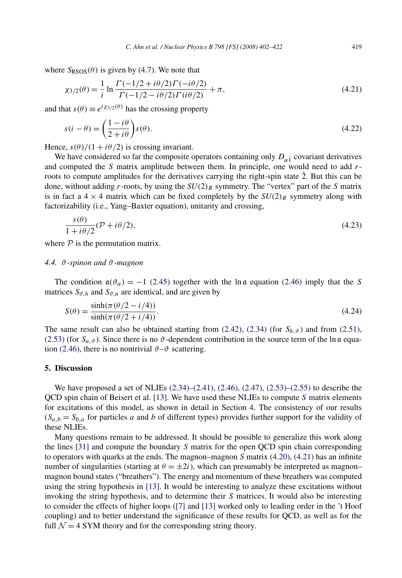<span id="page-17-0"></span>where  $S_{RSOS}(\theta)$  is given by [\(4.7\).](#page-15-0) We note that

$$
\chi_{3/2}(\theta) = \frac{1}{i} \ln \frac{\Gamma(-1/2 + i\theta/2)\Gamma(-i\theta/2)}{\Gamma(-1/2 - i\theta/2)\Gamma(i\theta/2)} + \pi,
$$
\n(4.21)

and that  $s(\theta) \equiv e^{i \chi_{3/2}(\theta)}$  has the crossing property

$$
s(i - \theta) = \left(\frac{1 - i\theta}{2 + i\theta}\right)s(\theta). \tag{4.22}
$$

Hence,  $s(\theta)/(1 + i\theta/2)$  is crossing invariant.

We have considered so far the composite operators containing only  $D_{\alpha}$ <sup>1</sup> covariant derivatives and computed the *S* matrix amplitude between them. In principle, one would need to add *r*roots to compute amplitudes for the derivatives carrying the right-spin state  $\dot{2}$ . But this can be done, without adding *r*-roots, by using the  $SU(2)_R$  symmetry. The "vertex" part of the *S* matrix is in fact a  $4 \times 4$  matrix which can be fixed completely by the  $SU(2)_R$  symmetry along with factorizability (i.e., Yang–Baxter equation), unitarity and crossing,

$$
\frac{s(\theta)}{1 + i\theta/2}(\mathcal{P} + i\theta/2),\tag{4.23}
$$

where  $P$  is the permutation matrix.

#### *4.4. ϑ-spinon and ϑ-magnon*

The condition  $a(\vartheta_{\alpha}) = -1$  [\(2.45\)](#page-9-0) together with the ln a equation [\(2.46\)](#page-9-0) imply that the *S* matrices  $S_{\vartheta,h}$  and  $S_{\vartheta,u}$  are identical, and are given by

$$
S(\theta) = \frac{\sinh(\pi(\theta/2 - i/4))}{\sinh(\pi(\theta/2 + i/4))}.
$$
\n(4.24)

The same result can also be obtained starting from  $(2.42)$ ,  $(2.34)$  (for  $S_{h,\vartheta}$ ) and from [\(2.51\),](#page-10-0) [\(2.53\)](#page-10-0) (for  $S_{u,\vartheta}$ ). Since there is no  $\vartheta$ -dependent contribution in the source term of the ln a equa-tion [\(2.46\),](#page-9-0) there is no nontrivial  $\vartheta$ - $\vartheta$  scattering.

## **5. Discussion**

We have proposed a set of NLIEs  $(2.34)$ – $(2.41)$ ,  $(2.46)$ ,  $(2.47)$ ,  $(2.53)$ – $(2.55)$  to describe the QCD spin chain of Beisert et al. [\[13\].](#page-19-0) We have used these NLIEs to compute *S* matrix elements for excitations of this model, as shown in detail in Section [4.](#page-14-0) The consistency of our results  $(S_{a,b} = S_{b,a}$  for particles *a* and *b* of different types) provides further support for the validity of these NLIEs.

Many questions remain to be addressed. It should be possible to generalize this work along the lines [\[31\]](#page-20-0) and compute the boundary *S* matrix for the open QCD spin chain corresponding to operators with quarks at the ends. The magnon–magnon *S* matrix [\(4.20\), \(4.21\)](#page-16-0) has an infinite number of singularities (starting at  $\theta = \pm 2i$ ), which can presumably be interpreted as magnon– magnon bound states ("breathers"). The energy and momentum of these breathers was computed using the string hypothesis in [\[13\].](#page-19-0) It would be interesting to analyze these excitations without invoking the string hypothesis, and to determine their *S* matrices. It would also be interesting to consider the effects of higher loops [\(\[7\]](#page-18-0) and [\[13\]](#page-19-0) worked only to leading order in the 't Hoof coupling) and to better understand the significance of these results for QCD, as well as for the full  $\mathcal{N} = 4$  SYM theory and for the corresponding string theory.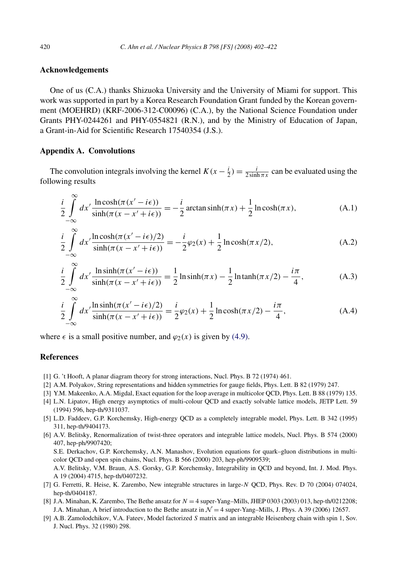# <span id="page-18-0"></span>**Acknowledgements**

One of us (C.A.) thanks Shizuoka University and the University of Miami for support. This work was supported in part by a Korea Research Foundation Grant funded by the Korean government (MOEHRD) (KRF-2006-312-C00096) (C.A.), by the National Science Foundation under Grants PHY-0244261 and PHY-0554821 (R.N.), and by the Ministry of Education of Japan, a Grant-in-Aid for Scientific Research 17540354 (J.S.).

# **Appendix A. Convolutions**

∞

The convolution integrals involving the kernel  $K(x - \frac{i}{2}) = \frac{i}{2 \sinh \pi x}$  can be evaluated using the following results

$$
\frac{i}{2} \int_{-\infty}^{\infty} dx' \frac{\ln \cosh(\pi (x'-i\epsilon))}{\sinh(\pi (x-x'+i\epsilon))} = -\frac{i}{2} \arctan \sinh(\pi x) + \frac{1}{2} \ln \cosh(\pi x),\tag{A.1}
$$

$$
\frac{i}{2} \int_{-\infty}^{\infty} dx' \frac{\ln \cosh(\pi (x'-i\epsilon)/2)}{\sinh(\pi (x-x'+i\epsilon))} = -\frac{i}{2}\varphi_2(x) + \frac{1}{2}\ln \cosh(\pi x/2),\tag{A.2}
$$

$$
\frac{i}{2} \int_{-\infty}^{\infty} dx' \frac{\ln \sinh(\pi(x'-i\epsilon))}{\sinh(\pi(x-x'+i\epsilon))} = \frac{1}{2} \ln \sinh(\pi x) - \frac{1}{2} \ln \tanh(\pi x/2) - \frac{i\pi}{4},
$$
\n(A.3)

$$
\frac{i}{2} \int_{-\infty}^{\infty} dx' \frac{\ln \sinh(\pi (x'-i\epsilon)/2)}{\sinh(\pi (x-x'+i\epsilon))} = \frac{i}{2}\varphi_2(x) + \frac{1}{2}\ln \cosh(\pi x/2) - \frac{i\pi}{4},
$$
\n(A.4)

where  $\epsilon$  is a small positive number, and  $\varphi_2(x)$  is given by [\(4.9\).](#page-15-0)

## **References**

- [1] G. 't Hooft, A planar diagram theory for strong interactions, Nucl. Phys. B 72 (1974) 461.
- [2] A.M. Polyakov, String representations and hidden symmetries for gauge fields, Phys. Lett. B 82 (1979) 247.
- [3] Y.M. Makeenko, A.A. Migdal, Exact equation for the loop average in multicolor QCD, Phys. Lett. B 88 (1979) 135.
- [4] L.N. Lipatov, High energy asymptotics of multi-colour QCD and exactly solvable lattice models, JETP Lett. 59 (1994) 596, hep-th/9311037.
- [5] L.D. Faddeev, G.P. Korchemsky, High-energy QCD as a completely integrable model, Phys. Lett. B 342 (1995) 311, hep-th/9404173.
- [6] A.V. Belitsky, Renormalization of twist-three operators and integrable lattice models, Nucl. Phys. B 574 (2000) 407, hep-ph/9907420;

S.E. Derkachov, G.P. Korchemsky, A.N. Manashov, Evolution equations for quark–gluon distributions in multicolor QCD and open spin chains, Nucl. Phys. B 566 (2000) 203, hep-ph/9909539;

A.V. Belitsky, V.M. Braun, A.S. Gorsky, G.P. Korchemsky, Integrability in QCD and beyond, Int. J. Mod. Phys. A 19 (2004) 4715, hep-th/0407232.

- [7] G. Ferretti, R. Heise, K. Zarembo, New integrable structures in large-*N* QCD, Phys. Rev. D 70 (2004) 074024, hep-th/0404187.
- [8] J.A. Minahan, K. Zarembo, The Bethe ansatz for *N* = 4 super-Yang–Mills, JHEP 0303 (2003) 013, hep-th/0212208; J.A. Minahan, A brief introduction to the Bethe ansatz in  $\mathcal{N} = 4$  super-Yang–Mills, J. Phys. A 39 (2006) 12657.
- [9] A.B. Zamolodchikov, V.A. Fateev, Model factorized *S* matrix and an integrable Heisenberg chain with spin 1, Sov. J. Nucl. Phys. 32 (1980) 298.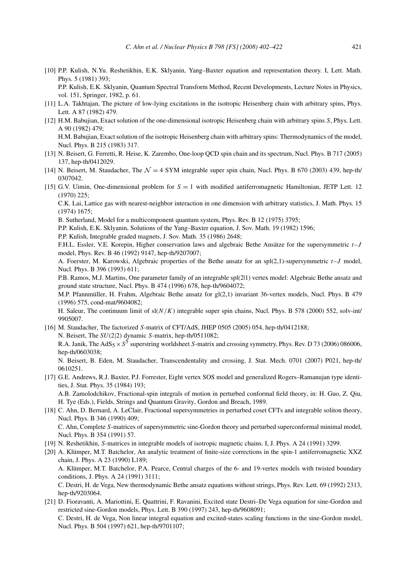<span id="page-19-0"></span>[10] P.P. Kulish, N.Yu. Reshetikhin, E.K. Sklyanin, Yang–Baxter equation and representation theory. I, Lett. Math. Phys. 5 (1981) 393;

P.P. Kulish, E.K. Sklyanin, Quantum Spectral Transform Method, Recent Developments, Lecture Notes in Physics, vol. 151, Springer, 1982, p. 61.

- [11] L.A. Takhtajan, The picture of low-lying excitations in the isotropic Heisenberg chain with arbitrary spins, Phys. Lett. A 87 (1982) 479.
- [12] H.M. Babujian, Exact solution of the one-dimensional isotropic Heisenberg chain with arbitrary spins *S*, Phys. Lett. A 90 (1982) 479;

H.M. Babujian, Exact solution of the isotropic Heisenberg chain with arbitrary spins: Thermodynamics of the model, Nucl. Phys. B 215 (1983) 317.

- [13] N. Beisert, G. Ferretti, R. Heise, K. Zarembo, One-loop QCD spin chain and its spectrum, Nucl. Phys. B 717 (2005) 137, hep-th/0412029.
- [14] N. Beisert, M. Staudacher, The  $\mathcal{N} = 4$  SYM integrable super spin chain, Nucl. Phys. B 670 (2003) 439, hep-th/ 0307042.
- [15] G.V. Uimin, One-dimensional problem for *S* = 1 with modified antiferromagnetic Hamiltonian, JETP Lett. 12 (1970) 225;

C.K. Lai, Lattice gas with nearest-neighbor interaction in one dimension with arbitrary statistics, J. Math. Phys. 15 (1974) 1675;

B. Sutherland, Model for a multicomponent quantum system, Phys. Rev. B 12 (1975) 3795;

P.P. Kulish, E.K. Sklyanin, Solutions of the Yang–Baxter equation, J. Sov. Math. 19 (1982) 1596;

P.P. Kulish, Integrable graded magnets, J. Sov. Math. 35 (1986) 2648;

F.H.L. Essler, V.E. Korepin, Higher conservation laws and algebraic Bethe Ansätze for the supersymmetric *t*–*J* model, Phys. Rev. B 46 (1992) 9147, hep-th/9207007;

A. Foerster, M. Karowski, Algebraic properties of the Bethe ansatz for an spl(2,1)-supersymmetric *t*–*J* model, Nucl. Phys. B 396 (1993) 611;

P.B. Ramos, M.J. Martins, One parameter family of an integrable spl(2|1) vertex model: Algebraic Bethe ansatz and ground state structure, Nucl. Phys. B 474 (1996) 678, hep-th/9604072;

M.P. Pfannmüller, H. Frahm, Algebraic Bethe ansatz for gl(2,1) invariant 36-vertex models, Nucl. Phys. B 479 (1996) 575, cond-mat/9604082;

H. Saleur, The continuum limit of  $sl(N/K)$  integrable super spin chains, Nucl. Phys. B 578 (2000) 552, solv-int/ 9905007.

[16] M. Staudacher, The factorized *S*-matrix of CFT/AdS, JHEP 0505 (2005) 054, hep-th/0412188; N. Beisert, The *SU(*2|2*)* dynamic *S*-matrix, hep-th/0511082; R.A. Janik, The AdS<sub>5</sub> × S<sup>5</sup> superstring worldsheet *S*-matrix and crossing symmetry, Phys. Rev. D 73 (2006) 086006, hep-th/0603038;

N. Beisert, B. Eden, M. Staudacher, Transcendentality and crossing, J. Stat. Mech. 0701 (2007) P021, hep-th/ 0610251.

[17] G.E. Andrews, R.J. Baxter, P.J. Forrester, Eight vertex SOS model and generalized Rogers–Ramanujan type identities, J. Stat. Phys. 35 (1984) 193;

A.B. Zamolodchikov, Fractional-spin integrals of motion in perturbed conformal field theory, in: H. Guo, Z. Qiu, H. Tye (Eds.), Fields, Strings and Quantum Gravity, Gordon and Breach, 1989.

- [18] C. Ahn, D. Bernard, A. LeClair, Fractional supersymmetries in perturbed coset CFTs and integrable soliton theory, Nucl. Phys. B 346 (1990) 409; C. Ahn, Complete *S*-matrices of supersymmetric sine-Gordon theory and perturbed superconformal minimal model, Nucl. Phys. B 354 (1991) 57.
- [19] N. Reshetikhin, *S*-matrices in integrable models of isotropic magnetic chains. I, J. Phys. A 24 (1991) 3299.
- [20] A. Klümper, M.T. Batchelor, An analytic treatment of finite-size corrections in the spin-1 antiferromagnetic XXZ chain, J. Phys. A 23 (1990) L189; A. Klümper, M.T. Batchelor, P.A. Pearce, Central charges of the 6- and 19-vertex models with twisted boundary conditions, J. Phys. A 24 (1991) 3111; C. Destri, H. de Vega, New thermodynamic Bethe ansatz equations without strings, Phys. Rev. Lett. 69 (1992) 2313, hep-th/9203064.
- [21] D. Fioravanti, A. Mariottini, E. Quattrini, F. Ravanini, Excited state Destri–De Vega equation for sine-Gordon and restricted sine-Gordon models, Phys. Lett. B 390 (1997) 243, hep-th/9608091;

C. Destri, H. de Vega, Non linear integral equation and excited-states scaling functions in the sine-Gordon model, Nucl. Phys. B 504 (1997) 621, hep-th/9701107;